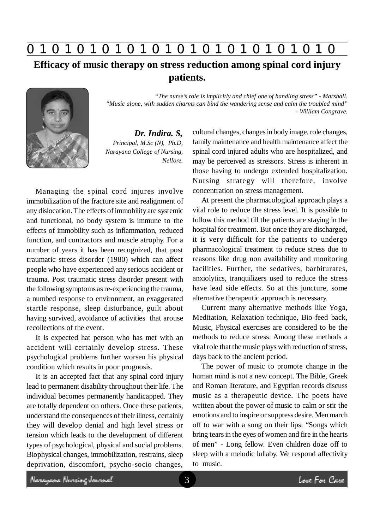**0 z 0 z 0 z 0 z 0 z 0 z 0 z 0 z 0 z 0 z 0 z 0 z 0**

**Efficacy of music therapy on stress reduction among spinal cord injury patients.**



*Dr. Indira. S, Principal, M.Sc (N), Ph.D, Narayana College of Nursing, Nellore.*

Managing the spinal cord injures involve immobilization of the fracture site and realignment of any dislocation. The effects of immobility are systemic and functional, no body system is immune to the effects of immobility such as inflammation, reduced function, and contractors and muscle atrophy. For a number of years it has been recognized, that post traumatic stress disorder (1980) which can affect people who have experienced any serious accident or trauma. Post traumatic stress disorder present with the following symptoms as re-experiencing the trauma, a numbed response to environment, an exaggerated startle response, sleep disturbance, guilt about having survived, avoidance of activities that arouse recollections of the event.

It is expected hat person who has met with an accident will certainly develop stress. These psychological problems further worsen his physical condition which results in poor prognosis.

It is an accepted fact that any spinal cord injury lead to permanent disability throughout their life. The individual becomes permanently handicapped. They are totally dependent on others. Once these patients, understand the consequences of their illness, certainly they will develop denial and high level stress or tension which leads to the development of different types of psychological, physical and social problems. Biophysical changes, immobilization, restrains, sleep deprivation, discomfort, psycho-socio changes,

cultural changes, changes in body image, role changes, family maintenance and health maintenance affect the spinal cord injured adults who are hospitalized, and may be perceived as stressors. Stress is inherent in those having to undergo extended hospitalization. Nursing strategy will therefore, involve concentration on stress management.

*- William Congrave.*

*"The nurse's role is implicitly and chief one of handling stress" - Marshall.*

*"Music alone, with sudden charms can bind the wandering sense and calm the troubled mind"*

At present the pharmacological approach plays a vital role to reduce the stress level. It is possible to follow this method till the patients are staying in the hospital for treatment. But once they are discharged, it is very difficult for the patients to undergo pharmacological treatment to reduce stress due to reasons like drug non availability and monitoring facilities. Further, the sedatives, barbiturates, anxiolytics, tranquilizers used to reduce the stress have lead side effects. So at this juncture, some alternative therapeutic approach is necessary.

Current many alternative methods like Yoga, Meditation, Relaxation technique, Bio-feed back, Music, Physical exercises are considered to be the methods to reduce stress. Among these methods a vital role that the music plays with reduction of stress, days back to the ancient period.

The power of music to promote change in the human mind is not a new concept. The Bible, Greek and Roman literature, and Egyptian records discuss music as a therapeutic device. The poets have written about the power of music to calm or stir the emotions and to inspire or suppress desire. Men march off to war with a song on their lips. "Songs which bring tears in the eyes of women and fire in the hearts of men" - Long fellow. Even children doze off to sleep with a melodic lullaby. We respond affectivity to music.

Neregeae Nereing Januard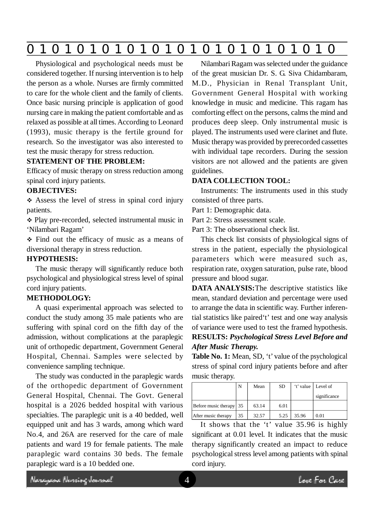|--|

Physiological and psychological needs must be considered together. If nursing intervention is to help the person as a whole. Nurses are firmly committed to care for the whole client and the family of clients. Once basic nursing principle is application of good nursing care in making the patient comfortable and as relaxed as possible at all times. According to Leonard (1993), music therapy is the fertile ground for research. So the investigator was also interested to test the music therapy for stress reduction.

## **STATEMENT OF THE PROBLEM:**

Efficacy of music therapy on stress reduction among spinal cord injury patients.

## **OBJECTIVES:**

 Assess the level of stress in spinal cord injury patients.

 Play pre-recorded, selected instrumental music in 'Nilambari Ragam'

 Find out the efficacy of music as a means of diversional therapy in stress reduction.

# **HYPOTHESIS:**

The music therapy will significantly reduce both psychological and physiological stress level of spinal cord injury patients.

## **METHODOLOGY:**

A quasi experimental approach was selected to conduct the study among 35 male patients who are suffering with spinal cord on the fifth day of the admission, without complications at the paraplegic unit of orthopedic department, Government General Hospital, Chennai. Samples were selected by convenience sampling technique.

The study was conducted in the paraplegic wards of the orthopedic department of Government General Hospital, Chennai. The Govt. General hospital is a 2026 bedded hospital with various specialties. The paraplegic unit is a 40 bedded, well equipped unit and has 3 wards, among which ward No.4, and 26A are reserved for the care of male patients and ward 19 for female patients. The male paraplegic ward contains 30 beds. The female paraplegic ward is a 10 bedded one.

Nilambari Ragam was selected under the guidance of the great musician Dr. S. G. Siva Chidambaram, M.D., Physician in Renal Transplant Unit, Government General Hospital with working knowledge in music and medicine. This ragam has comforting effect on the persons, calms the mind and produces deep sleep. Only instrumental music is played. The instruments used were clarinet and flute. Music therapy was provided by prerecorded cassettes with individual tape recorders. During the session visitors are not allowed and the patients are given guidelines.

## **DATA COLLECTION TOOL:**

Instruments: The instruments used in this study consisted of three parts.

Part 1: Demographic data.

Part 2: Stress assessment scale.

Part 3: The observational check list.

This check list consists of physiological signs of stress in the patient, especially the physiological parameters which were measured such as, respiration rate, oxygen saturation, pulse rate, blood pressure and blood sugar.

**DATA ANALYSIS:**The descriptive statistics like mean, standard deviation and percentage were used to arrange the data in scientific way. Further inferential statistics like paired't' test and one way analysis of variance were used to test the framed hypothesis. **RESULTS:** *Psychological Stress Level Before and After Music Therapy.*

**Table No. 1:** Mean, SD, 't' value of the psychological stress of spinal cord injury patients before and after music therapy.

|                         | N  | Mean  | <b>SD</b> |       | 't' value   Level of |
|-------------------------|----|-------|-----------|-------|----------------------|
|                         |    |       |           |       | significance         |
| Before music therapy 35 |    | 63.14 | 6.01      |       |                      |
| After music therapy     | 35 | 32.57 | 5.25      | 35.96 | 0.01                 |

It shows that the 't' value 35.96 is highly significant at 0.01 level. It indicates that the music therapy significantly created an impact to reduce psychological stress level among patients with spinal cord injury.